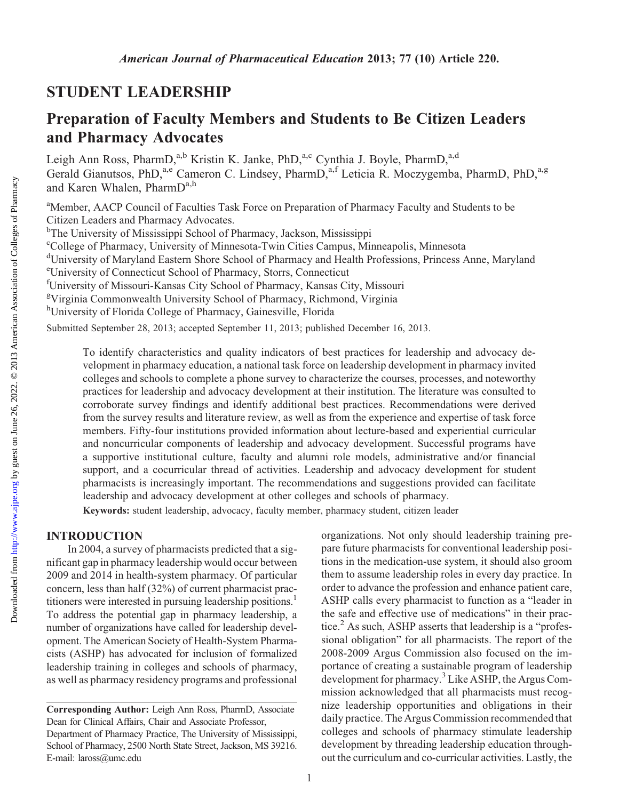# STUDENT LEADERSHIP

# Preparation of Faculty Members and Students to Be Citizen Leaders and Pharmacy Advocates

Leigh Ann Ross, PharmD,<sup>a,b</sup> Kristin K. Janke, PhD,<sup>a,c</sup> Cynthia J. Boyle, PharmD,<sup>a,d</sup> Gerald Gianutsos, PhD,<sup>a,e</sup> Cameron C. Lindsey, PharmD,<sup>a,f</sup> Leticia R. Moczygemba, PharmD, PhD,<sup>a,g</sup> and Karen Whalen, PharmD<sup>a,h</sup>

<sup>a</sup>Member, AACP Council of Faculties Task Force on Preparation of Pharmacy Faculty and Students to be Citizen Leaders and Pharmacy Advocates.

<sup>b</sup>The University of Mississippi School of Pharmacy, Jackson, Mississippi

<sup>c</sup>College of Pharmacy, University of Minnesota-Twin Cities Campus, Minneapolis, Minnesota

dUniversity of Maryland Eastern Shore School of Pharmacy and Health Professions, Princess Anne, Maryland

e University of Connecticut School of Pharmacy, Storrs, Connecticut

f University of Missouri-Kansas City School of Pharmacy, Kansas City, Missouri

g Virginia Commonwealth University School of Pharmacy, Richmond, Virginia

hUniversity of Florida College of Pharmacy, Gainesville, Florida

Submitted September 28, 2013; accepted September 11, 2013; published December 16, 2013.

To identify characteristics and quality indicators of best practices for leadership and advocacy development in pharmacy education, a national task force on leadership development in pharmacy invited colleges and schools to complete a phone survey to characterize the courses, processes, and noteworthy practices for leadership and advocacy development at their institution. The literature was consulted to corroborate survey findings and identify additional best practices. Recommendations were derived from the survey results and literature review, as well as from the experience and expertise of task force members. Fifty-four institutions provided information about lecture-based and experiential curricular and noncurricular components of leadership and advocacy development. Successful programs have a supportive institutional culture, faculty and alumni role models, administrative and/or financial support, and a cocurricular thread of activities. Leadership and advocacy development for student pharmacists is increasingly important. The recommendations and suggestions provided can facilitate leadership and advocacy development at other colleges and schools of pharmacy.

Keywords: student leadership, advocacy, faculty member, pharmacy student, citizen leader

# INTRODUCTION

In 2004, a survey of pharmacists predicted that a significant gap in pharmacy leadership would occur between 2009 and 2014 in health-system pharmacy. Of particular concern, less than half (32%) of current pharmacist practitioners were interested in pursuing leadership positions.<sup>1</sup> To address the potential gap in pharmacy leadership, a number of organizations have called for leadership development. The American Society of Health-System Pharmacists (ASHP) has advocated for inclusion of formalized leadership training in colleges and schools of pharmacy, as well as pharmacy residency programs and professional

organizations. Not only should leadership training prepare future pharmacists for conventional leadership positions in the medication-use system, it should also groom them to assume leadership roles in every day practice. In order to advance the profession and enhance patient care, ASHP calls every pharmacist to function as a "leader in the safe and effective use of medications" in their practice.<sup>2</sup> As such, ASHP asserts that leadership is a "professional obligation" for all pharmacists. The report of the 2008-2009 Argus Commission also focused on the importance of creating a sustainable program of leadership development for pharmacy.3Like ASHP, the Argus Commission acknowledged that all pharmacists must recognize leadership opportunities and obligations in their daily practice. The Argus Commission recommended that colleges and schools of pharmacy stimulate leadership development by threading leadership education throughout the curriculum and co-curricular activities. Lastly, the

Corresponding Author: Leigh Ann Ross, PharmD, Associate Dean for Clinical Affairs, Chair and Associate Professor, Department of Pharmacy Practice, The University of Mississippi, School of Pharmacy, 2500 North State Street, Jackson, MS 39216. E-mail: laross@umc.edu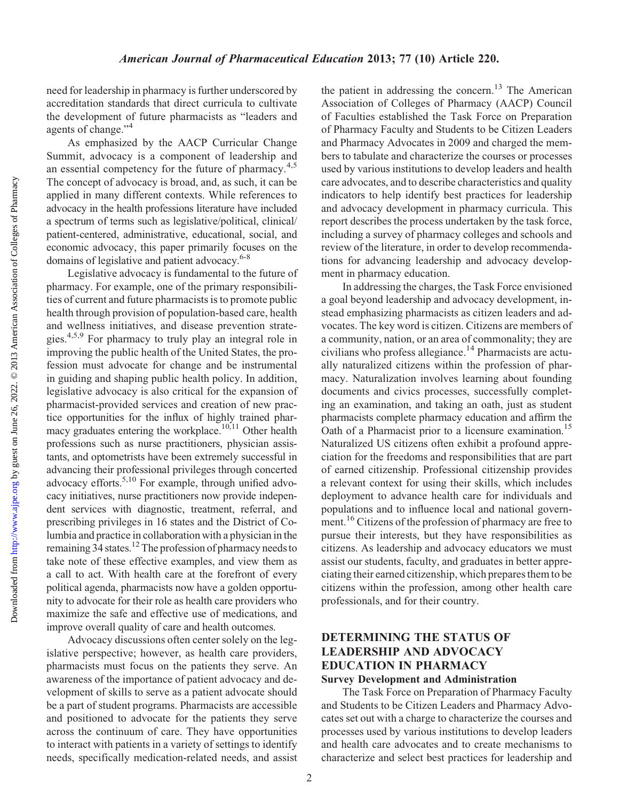need for leadership in pharmacy is further underscored by accreditation standards that direct curricula to cultivate the development of future pharmacists as "leaders and agents of change."<sup>4</sup>

As emphasized by the AACP Curricular Change Summit, advocacy is a component of leadership and an essential competency for the future of pharmacy. $4.5$ The concept of advocacy is broad, and, as such, it can be applied in many different contexts. While references to advocacy in the health professions literature have included a spectrum of terms such as legislative/political, clinical/ patient-centered, administrative, educational, social, and economic advocacy, this paper primarily focuses on the domains of legislative and patient advocacy.<sup>6-8</sup>

Legislative advocacy is fundamental to the future of pharmacy. For example, one of the primary responsibilities of current and future pharmacists is to promote public health through provision of population-based care, health and wellness initiatives, and disease prevention strategies.4,5,9 For pharmacy to truly play an integral role in improving the public health of the United States, the profession must advocate for change and be instrumental in guiding and shaping public health policy. In addition, legislative advocacy is also critical for the expansion of pharmacist-provided services and creation of new practice opportunities for the influx of highly trained pharmacy graduates entering the workplace.<sup>10,11</sup> Other health professions such as nurse practitioners, physician assistants, and optometrists have been extremely successful in advancing their professional privileges through concerted advocacy efforts.<sup>5,10</sup> For example, through unified advocacy initiatives, nurse practitioners now provide independent services with diagnostic, treatment, referral, and prescribing privileges in 16 states and the District of Columbia and practice in collaboration with a physician in the remaining  $34$  states.<sup>12</sup> The profession of pharmacy needs to take note of these effective examples, and view them as a call to act. With health care at the forefront of every political agenda, pharmacists now have a golden opportunity to advocate for their role as health care providers who maximize the safe and effective use of medications, and improve overall quality of care and health outcomes.

Advocacy discussions often center solely on the legislative perspective; however, as health care providers, pharmacists must focus on the patients they serve. An awareness of the importance of patient advocacy and development of skills to serve as a patient advocate should be a part of student programs. Pharmacists are accessible and positioned to advocate for the patients they serve across the continuum of care. They have opportunities to interact with patients in a variety of settings to identify needs, specifically medication-related needs, and assist the patient in addressing the concern.<sup>13</sup> The American Association of Colleges of Pharmacy (AACP) Council of Faculties established the Task Force on Preparation of Pharmacy Faculty and Students to be Citizen Leaders and Pharmacy Advocates in 2009 and charged the members to tabulate and characterize the courses or processes used by various institutions to develop leaders and health care advocates, and to describe characteristics and quality indicators to help identify best practices for leadership and advocacy development in pharmacy curricula. This report describes the process undertaken by the task force, including a survey of pharmacy colleges and schools and review of the literature, in order to develop recommendations for advancing leadership and advocacy development in pharmacy education.

In addressing the charges, the Task Force envisioned a goal beyond leadership and advocacy development, instead emphasizing pharmacists as citizen leaders and advocates. The key word is citizen. Citizens are members of a community, nation, or an area of commonality; they are civilians who profess allegiance.<sup>14</sup> Pharmacists are actually naturalized citizens within the profession of pharmacy. Naturalization involves learning about founding documents and civics processes, successfully completing an examination, and taking an oath, just as student pharmacists complete pharmacy education and affirm the Oath of a Pharmacist prior to a licensure examination.<sup>15</sup> Naturalized US citizens often exhibit a profound appreciation for the freedoms and responsibilities that are part of earned citizenship. Professional citizenship provides a relevant context for using their skills, which includes deployment to advance health care for individuals and populations and to influence local and national government.<sup>16</sup> Citizens of the profession of pharmacy are free to pursue their interests, but they have responsibilities as citizens. As leadership and advocacy educators we must assist our students, faculty, and graduates in better appreciating their earned citizenship, which prepares them to be citizens within the profession, among other health care professionals, and for their country.

# DETERMINING THE STATUS OF LEADERSHIP AND ADVOCACY EDUCATION IN PHARMACY Survey Development and Administration

The Task Force on Preparation of Pharmacy Faculty and Students to be Citizen Leaders and Pharmacy Advocates set out with a charge to characterize the courses and processes used by various institutions to develop leaders and health care advocates and to create mechanisms to characterize and select best practices for leadership and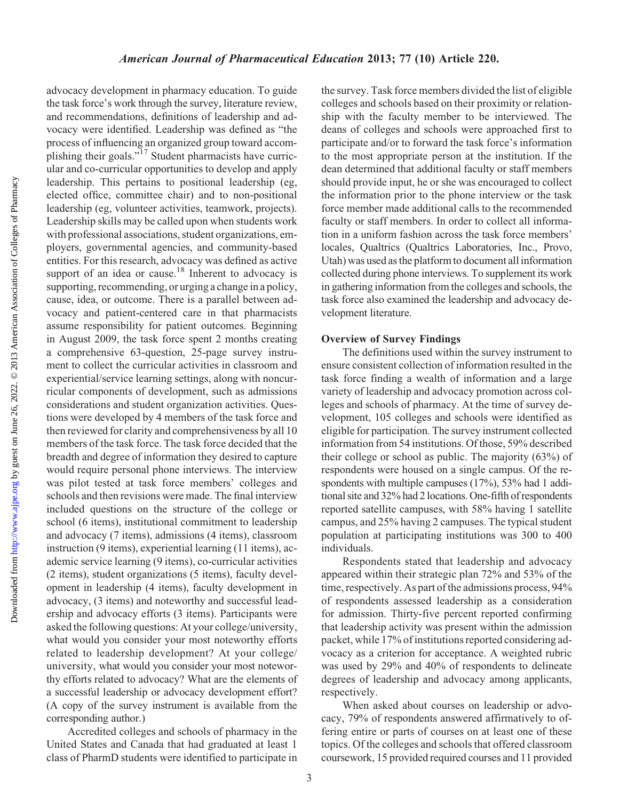Downloaded from http://www.ajpe.org by guest on June 26, 2022. @ 2013 American Association of Colleges of Pharmacy by guest on June 26, 2022. © 2013 American Association of Colleges of Pharmacy <http://www.ajpe.org> Downloaded from

advocacy development in pharmacy education. To guide the task force's work through the survey, literature review, and recommendations, definitions of leadership and advocacy were identified. Leadership was defined as "the process of influencing an organized group toward accomplishing their goals."<sup>17</sup> Student pharmacists have curricular and co-curricular opportunities to develop and apply leadership. This pertains to positional leadership (eg, elected office, committee chair) and to non-positional leadership (eg, volunteer activities, teamwork, projects). Leadership skills may be called upon when students work with professional associations, student organizations, employers, governmental agencies, and community-based entities. For this research, advocacy was defined as active support of an idea or cause.<sup>18</sup> Inherent to advocacy is supporting, recommending, or urging a change in a policy, cause, idea, or outcome. There is a parallel between advocacy and patient-centered care in that pharmacists assume responsibility for patient outcomes. Beginning in August 2009, the task force spent 2 months creating a comprehensive 63-question, 25-page survey instrument to collect the curricular activities in classroom and experiential/service learning settings, along with noncurricular components of development, such as admissions considerations and student organization activities. Questions were developed by 4 members of the task force and then reviewed for clarity and comprehensiveness by all 10 members of the task force. The task force decided that the breadth and degree of information they desired to capture would require personal phone interviews. The interview was pilot tested at task force members' colleges and schools and then revisions were made. The final interview included questions on the structure of the college or school (6 items), institutional commitment to leadership and advocacy (7 items), admissions (4 items), classroom instruction (9 items), experiential learning (11 items), academic service learning (9 items), co-curricular activities (2 items), student organizations (5 items), faculty development in leadership (4 items), faculty development in advocacy, (3 items) and noteworthy and successful leadership and advocacy efforts (3 items). Participants were asked the following questions: At your college/university, what would you consider your most noteworthy efforts related to leadership development? At your college/ university, what would you consider your most noteworthy efforts related to advocacy? What are the elements of a successful leadership or advocacy development effort? (A copy of the survey instrument is available from the corresponding author.)

Accredited colleges and schools of pharmacy in the United States and Canada that had graduated at least 1 class of PharmD students were identified to participate in the survey. Task force members divided the list of eligible colleges and schools based on their proximity or relationship with the faculty member to be interviewed. The deans of colleges and schools were approached first to participate and/or to forward the task force's information to the most appropriate person at the institution. If the dean determined that additional faculty or staff members should provide input, he or she was encouraged to collect the information prior to the phone interview or the task force member made additional calls to the recommended faculty or staff members. In order to collect all information in a uniform fashion across the task force members' locales, Qualtrics (Qualtrics Laboratories, Inc., Provo, Utah) was used as the platform to document all information collected during phone interviews. To supplement its work in gathering information from the colleges and schools, the task force also examined the leadership and advocacy development literature.

#### Overview of Survey Findings

The definitions used within the survey instrument to ensure consistent collection of information resulted in the task force finding a wealth of information and a large variety of leadership and advocacy promotion across colleges and schools of pharmacy. At the time of survey development, 105 colleges and schools were identified as eligible for participation. The survey instrument collected information from 54 institutions. Of those, 59% described their college or school as public. The majority (63%) of respondents were housed on a single campus. Of the respondents with multiple campuses (17%), 53% had 1 additional site and 32% had 2 locations. One-fifth of respondents reported satellite campuses, with 58% having 1 satellite campus, and 25% having 2 campuses. The typical student population at participating institutions was 300 to 400 individuals.

Respondents stated that leadership and advocacy appeared within their strategic plan 72% and 53% of the time, respectively. As part of the admissions process, 94% of respondents assessed leadership as a consideration for admission. Thirty-five percent reported confirming that leadership activity was present within the admission packet, while 17% of institutions reported considering advocacy as a criterion for acceptance. A weighted rubric was used by 29% and 40% of respondents to delineate degrees of leadership and advocacy among applicants, respectively.

When asked about courses on leadership or advocacy, 79% of respondents answered affirmatively to offering entire or parts of courses on at least one of these topics. Of the colleges and schools that offered classroom coursework, 15 provided required courses and 11 provided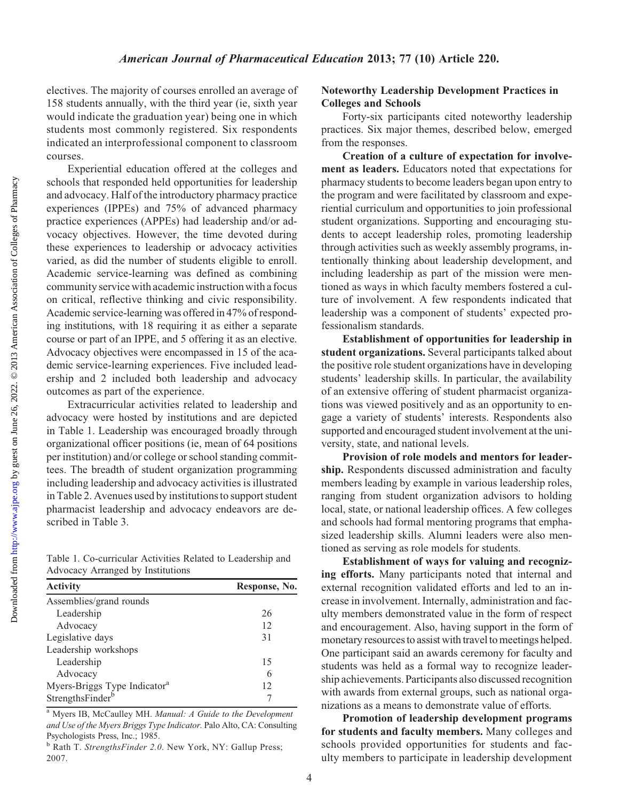electives. The majority of courses enrolled an average of 158 students annually, with the third year (ie, sixth year would indicate the graduation year) being one in which students most commonly registered. Six respondents indicated an interprofessional component to classroom courses.

Experiential education offered at the colleges and schools that responded held opportunities for leadership and advocacy. Half of the introductory pharmacy practice experiences (IPPEs) and 75% of advanced pharmacy practice experiences (APPEs) had leadership and/or advocacy objectives. However, the time devoted during these experiences to leadership or advocacy activities varied, as did the number of students eligible to enroll. Academic service-learning was defined as combining community service with academic instruction with a focus on critical, reflective thinking and civic responsibility. Academic service-learning was offered in 47% of responding institutions, with 18 requiring it as either a separate course or part of an IPPE, and 5 offering it as an elective. Advocacy objectives were encompassed in 15 of the academic service-learning experiences. Five included leadership and 2 included both leadership and advocacy outcomes as part of the experience.

Extracurricular activities related to leadership and advocacy were hosted by institutions and are depicted in Table 1. Leadership was encouraged broadly through organizational officer positions (ie, mean of 64 positions per institution) and/or college or school standing committees. The breadth of student organization programming including leadership and advocacy activities is illustrated in Table 2. Avenues used by institutions to support student pharmacist leadership and advocacy endeavors are described in Table 3.

Table 1. Co-curricular Activities Related to Leadership and Advocacy Arranged by Institutions

| <b>Activity</b>                          | Response, No. |
|------------------------------------------|---------------|
| Assemblies/grand rounds                  |               |
| Leadership                               | 26            |
| Advocacy                                 | 12            |
| Legislative days                         | 31            |
| Leadership workshops                     |               |
| Leadership                               | 15            |
| Advocacy                                 | 6             |
| Myers-Briggs Type Indicator <sup>a</sup> | 12            |
| StrengthsFinder <sup>b</sup>             |               |

<sup>a</sup> Myers IB, McCaulley MH. Manual: A Guide to the Development and Use of the Myers Briggs Type Indicator. Palo Alto, CA: Consulting Psychologists Press, Inc.; 1985.

 $<sup>b</sup>$  Rath T. StrengthsFinder 2.0. New York, NY: Gallup Press;</sup> 2007.

## Noteworthy Leadership Development Practices in Colleges and Schools

Forty-six participants cited noteworthy leadership practices. Six major themes, described below, emerged from the responses.

Creation of a culture of expectation for involvement as leaders. Educators noted that expectations for pharmacy students to become leaders began upon entry to the program and were facilitated by classroom and experiential curriculum and opportunities to join professional student organizations. Supporting and encouraging students to accept leadership roles, promoting leadership through activities such as weekly assembly programs, intentionally thinking about leadership development, and including leadership as part of the mission were mentioned as ways in which faculty members fostered a culture of involvement. A few respondents indicated that leadership was a component of students' expected professionalism standards.

Establishment of opportunities for leadership in student organizations. Several participants talked about the positive role student organizations have in developing students' leadership skills. In particular, the availability of an extensive offering of student pharmacist organizations was viewed positively and as an opportunity to engage a variety of students' interests. Respondents also supported and encouraged student involvement at the university, state, and national levels.

Provision of role models and mentors for leadership. Respondents discussed administration and faculty members leading by example in various leadership roles, ranging from student organization advisors to holding local, state, or national leadership offices. A few colleges and schools had formal mentoring programs that emphasized leadership skills. Alumni leaders were also mentioned as serving as role models for students.

Establishment of ways for valuing and recognizing efforts. Many participants noted that internal and external recognition validated efforts and led to an increase in involvement. Internally, administration and faculty members demonstrated value in the form of respect and encouragement. Also, having support in the form of monetary resources to assist with travel to meetings helped. One participant said an awards ceremony for faculty and students was held as a formal way to recognize leadership achievements. Participants also discussed recognition with awards from external groups, such as national organizations as a means to demonstrate value of efforts.

Promotion of leadership development programs for students and faculty members. Many colleges and schools provided opportunities for students and faculty members to participate in leadership development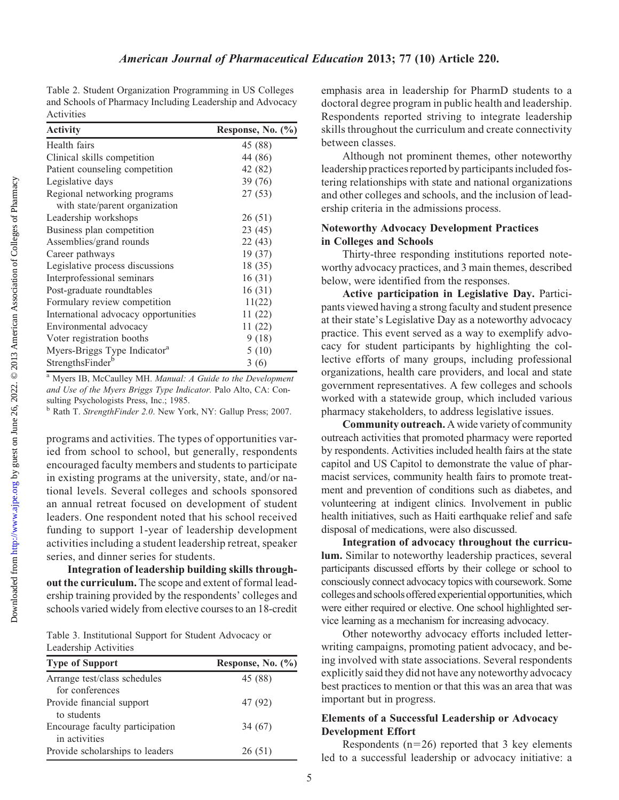Table 2. Student Organization Programming in US Colleges and Schools of Pharmacy Including Leadership and Advocacy Activities

| <b>Activity</b>                          | Response, No. (%) |
|------------------------------------------|-------------------|
| Health fairs                             | 45 (88)           |
| Clinical skills competition              | 44 (86)           |
| Patient counseling competition           | 42 (82)           |
| Legislative days                         | 39 (76)           |
| Regional networking programs             | 27(53)            |
| with state/parent organization           |                   |
| Leadership workshops                     | 26(51)            |
| Business plan competition                | 23 (45)           |
| Assemblies/grand rounds                  | 22(43)            |
| Career pathways                          | 19 (37)           |
| Legislative process discussions          | 18 (35)           |
| Interprofessional seminars               | 16(31)            |
| Post-graduate roundtables                | 16(31)            |
| Formulary review competition             | 11(22)            |
| International advocacy opportunities     | 11(22)            |
| Environmental advocacy                   | 11(22)            |
| Voter registration booths                | 9(18)             |
| Myers-Briggs Type Indicator <sup>a</sup> | 5(10)             |
| StrengthsFinder <sup>b</sup>             | 3(6)              |

<sup>a</sup> Myers IB, McCaulley MH. Manual: A Guide to the Development and Use of the Myers Briggs Type Indicator. Palo Alto, CA: Consulting Psychologists Press, Inc.; 1985.

<sup>b</sup> Rath T. StrengthFinder 2.0. New York, NY: Gallup Press; 2007.

programs and activities. The types of opportunities varied from school to school, but generally, respondents encouraged faculty members and students to participate in existing programs at the university, state, and/or national levels. Several colleges and schools sponsored an annual retreat focused on development of student leaders. One respondent noted that his school received funding to support 1-year of leadership development activities including a student leadership retreat, speaker series, and dinner series for students.

Integration of leadership building skills throughout the curriculum. The scope and extent of formal leadership training provided by the respondents' colleges and schools varied widely from elective courses to an 18-credit

Table 3. Institutional Support for Student Advocacy or Leadership Activities

| <b>Type of Support</b>          | Response, No. $(\% )$ |
|---------------------------------|-----------------------|
| Arrange test/class schedules    | 45 (88)               |
| for conferences                 |                       |
| Provide financial support       | 47 (92)               |
| to students                     |                       |
| Encourage faculty participation | 34 (67)               |
| in activities                   |                       |
| Provide scholarships to leaders | 26 (51)               |

emphasis area in leadership for PharmD students to a doctoral degree program in public health and leadership. Respondents reported striving to integrate leadership skills throughout the curriculum and create connectivity between classes.

Although not prominent themes, other noteworthy leadership practices reported by participants included fostering relationships with state and national organizations and other colleges and schools, and the inclusion of leadership criteria in the admissions process.

## Noteworthy Advocacy Development Practices in Colleges and Schools

Thirty-three responding institutions reported noteworthy advocacy practices, and 3 main themes, described below, were identified from the responses.

Active participation in Legislative Day. Participants viewed having a strong faculty and student presence at their state's Legislative Day as a noteworthy advocacy practice. This event served as a way to exemplify advocacy for student participants by highlighting the collective efforts of many groups, including professional organizations, health care providers, and local and state government representatives. A few colleges and schools worked with a statewide group, which included various pharmacy stakeholders, to address legislative issues.

Community outreach. A wide variety of community outreach activities that promoted pharmacy were reported by respondents. Activities included health fairs at the state capitol and US Capitol to demonstrate the value of pharmacist services, community health fairs to promote treatment and prevention of conditions such as diabetes, and volunteering at indigent clinics. Involvement in public health initiatives, such as Haiti earthquake relief and safe disposal of medications, were also discussed.

Integration of advocacy throughout the curriculum. Similar to noteworthy leadership practices, several participants discussed efforts by their college or school to consciously connect advocacy topics with coursework. Some colleges and schools offered experiential opportunities, which were either required or elective. One school highlighted service learning as a mechanism for increasing advocacy.

Other noteworthy advocacy efforts included letterwriting campaigns, promoting patient advocacy, and being involved with state associations. Several respondents explicitly said they did not have any noteworthy advocacy best practices to mention or that this was an area that was important but in progress.

# Elements of a Successful Leadership or Advocacy Development Effort

Respondents  $(n=26)$  reported that 3 key elements led to a successful leadership or advocacy initiative: a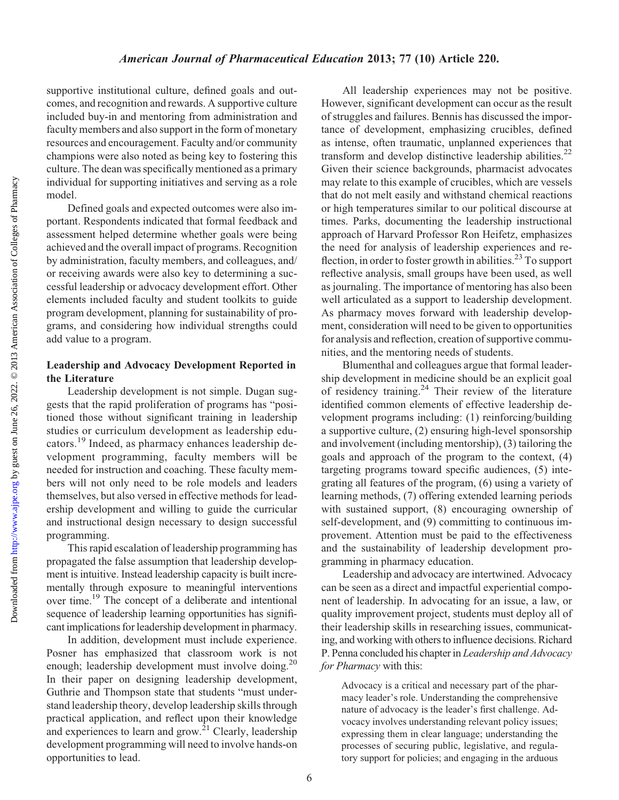#### American Journal of Pharmaceutical Education 2013; 77 (10) Article 220.

supportive institutional culture, defined goals and outcomes, and recognition and rewards. A supportive culture included buy-in and mentoring from administration and faculty members and also support in the form of monetary resources and encouragement. Faculty and/or community champions were also noted as being key to fostering this culture. The dean was specifically mentioned as a primary individual for supporting initiatives and serving as a role model.

Defined goals and expected outcomes were also important. Respondents indicated that formal feedback and assessment helped determine whether goals were being achieved and the overall impact of programs. Recognition by administration, faculty members, and colleagues, and/ or receiving awards were also key to determining a successful leadership or advocacy development effort. Other elements included faculty and student toolkits to guide program development, planning for sustainability of programs, and considering how individual strengths could add value to a program.

### Leadership and Advocacy Development Reported in the Literature

Leadership development is not simple. Dugan suggests that the rapid proliferation of programs has "positioned those without significant training in leadership studies or curriculum development as leadership educators.<sup>19</sup> Indeed, as pharmacy enhances leadership development programming, faculty members will be needed for instruction and coaching. These faculty members will not only need to be role models and leaders themselves, but also versed in effective methods for leadership development and willing to guide the curricular and instructional design necessary to design successful programming.

This rapid escalation of leadership programming has propagated the false assumption that leadership development is intuitive. Instead leadership capacity is built incrementally through exposure to meaningful interventions over time.19 The concept of a deliberate and intentional sequence of leadership learning opportunities has significant implications for leadership development in pharmacy.

In addition, development must include experience. Posner has emphasized that classroom work is not enough; leadership development must involve doing.<sup>20</sup> In their paper on designing leadership development, Guthrie and Thompson state that students "must understand leadership theory, develop leadership skills through practical application, and reflect upon their knowledge and experiences to learn and grow.<sup>21</sup> Clearly, leadership development programming will need to involve hands-on opportunities to lead.

All leadership experiences may not be positive. However, significant development can occur as the result of struggles and failures. Bennis has discussed the importance of development, emphasizing crucibles, defined as intense, often traumatic, unplanned experiences that transform and develop distinctive leadership abilities.<sup>22</sup> Given their science backgrounds, pharmacist advocates may relate to this example of crucibles, which are vessels that do not melt easily and withstand chemical reactions or high temperatures similar to our political discourse at times. Parks, documenting the leadership instructional approach of Harvard Professor Ron Heifetz, emphasizes the need for analysis of leadership experiences and reflection, in order to foster growth in abilities.<sup>23</sup> To support reflective analysis, small groups have been used, as well as journaling. The importance of mentoring has also been well articulated as a support to leadership development. As pharmacy moves forward with leadership development, consideration will need to be given to opportunities for analysis and reflection, creation of supportive communities, and the mentoring needs of students.

Blumenthal and colleagues argue that formal leadership development in medicine should be an explicit goal of residency training.24 Their review of the literature identified common elements of effective leadership development programs including: (1) reinforcing/building a supportive culture, (2) ensuring high-level sponsorship and involvement (including mentorship), (3) tailoring the goals and approach of the program to the context, (4) targeting programs toward specific audiences, (5) integrating all features of the program, (6) using a variety of learning methods, (7) offering extended learning periods with sustained support, (8) encouraging ownership of self-development, and (9) committing to continuous improvement. Attention must be paid to the effectiveness and the sustainability of leadership development programming in pharmacy education.

Leadership and advocacy are intertwined. Advocacy can be seen as a direct and impactful experiential component of leadership. In advocating for an issue, a law, or quality improvement project, students must deploy all of their leadership skills in researching issues, communicating, and working with others to influence decisions. Richard P. Penna concluded his chapter in *Leadership and Advocacy* for Pharmacy with this:

Advocacy is a critical and necessary part of the pharmacy leader's role. Understanding the comprehensive nature of advocacy is the leader's first challenge. Advocacy involves understanding relevant policy issues; expressing them in clear language; understanding the processes of securing public, legislative, and regulatory support for policies; and engaging in the arduous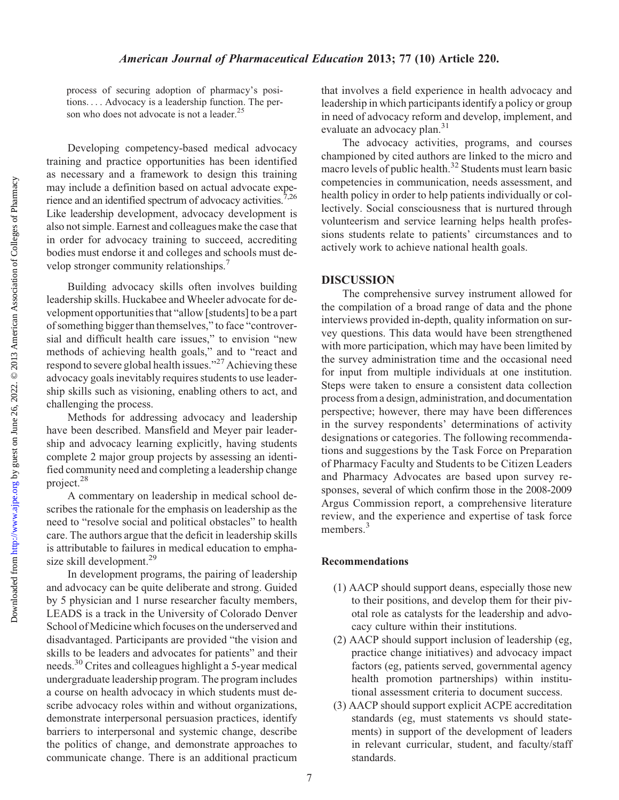process of securing adoption of pharmacy's positions... . Advocacy is a leadership function. The person who does not advocate is not a leader.<sup>25</sup>

Developing competency-based medical advocacy training and practice opportunities has been identified as necessary and a framework to design this training may include a definition based on actual advocate experience and an identified spectrum of advocacy activities.<sup> $7,26$ </sup> Like leadership development, advocacy development is also not simple. Earnest and colleagues make the case that in order for advocacy training to succeed, accrediting bodies must endorse it and colleges and schools must develop stronger community relationships.<sup>7</sup>

Building advocacy skills often involves building leadership skills. Huckabee and Wheeler advocate for development opportunities that "allow [students] to be a part of something bigger than themselves," to face "controversial and difficult health care issues," to envision "new methods of achieving health goals," and to "react and respond to severe global health issues."<sup>27</sup> Achieving these advocacy goals inevitably requires students to use leadership skills such as visioning, enabling others to act, and challenging the process.

Methods for addressing advocacy and leadership have been described. Mansfield and Meyer pair leadership and advocacy learning explicitly, having students complete 2 major group projects by assessing an identified community need and completing a leadership change project.28

A commentary on leadership in medical school describes the rationale for the emphasis on leadership as the need to "resolve social and political obstacles" to health care. The authors argue that the deficit in leadership skills is attributable to failures in medical education to emphasize skill development.<sup>29</sup>

In development programs, the pairing of leadership and advocacy can be quite deliberate and strong. Guided by 5 physician and 1 nurse researcher faculty members, LEADS is a track in the University of Colorado Denver School of Medicine which focuses on the underserved and disadvantaged. Participants are provided "the vision and skills to be leaders and advocates for patients" and their needs.<sup>30</sup> Crites and colleagues highlight a 5-year medical undergraduate leadership program. The program includes a course on health advocacy in which students must describe advocacy roles within and without organizations, demonstrate interpersonal persuasion practices, identify barriers to interpersonal and systemic change, describe the politics of change, and demonstrate approaches to communicate change. There is an additional practicum

that involves a field experience in health advocacy and leadership in which participants identify a policy or group in need of advocacy reform and develop, implement, and evaluate an advocacy plan.<sup>31</sup>

The advocacy activities, programs, and courses championed by cited authors are linked to the micro and macro levels of public health.<sup>32</sup> Students must learn basic competencies in communication, needs assessment, and health policy in order to help patients individually or collectively. Social consciousness that is nurtured through volunteerism and service learning helps health professions students relate to patients' circumstances and to actively work to achieve national health goals.

#### **DISCUSSION**

The comprehensive survey instrument allowed for the compilation of a broad range of data and the phone interviews provided in-depth, quality information on survey questions. This data would have been strengthened with more participation, which may have been limited by the survey administration time and the occasional need for input from multiple individuals at one institution. Steps were taken to ensure a consistent data collection process from a design, administration, and documentation perspective; however, there may have been differences in the survey respondents' determinations of activity designations or categories. The following recommendations and suggestions by the Task Force on Preparation of Pharmacy Faculty and Students to be Citizen Leaders and Pharmacy Advocates are based upon survey responses, several of which confirm those in the 2008-2009 Argus Commission report, a comprehensive literature review, and the experience and expertise of task force members.<sup>3</sup>

#### Recommendations

- (1) AACP should support deans, especially those new to their positions, and develop them for their pivotal role as catalysts for the leadership and advocacy culture within their institutions.
- (2) AACP should support inclusion of leadership (eg, practice change initiatives) and advocacy impact factors (eg, patients served, governmental agency health promotion partnerships) within institutional assessment criteria to document success.
- (3) AACP should support explicit ACPE accreditation standards (eg, must statements vs should statements) in support of the development of leaders in relevant curricular, student, and faculty/staff standards.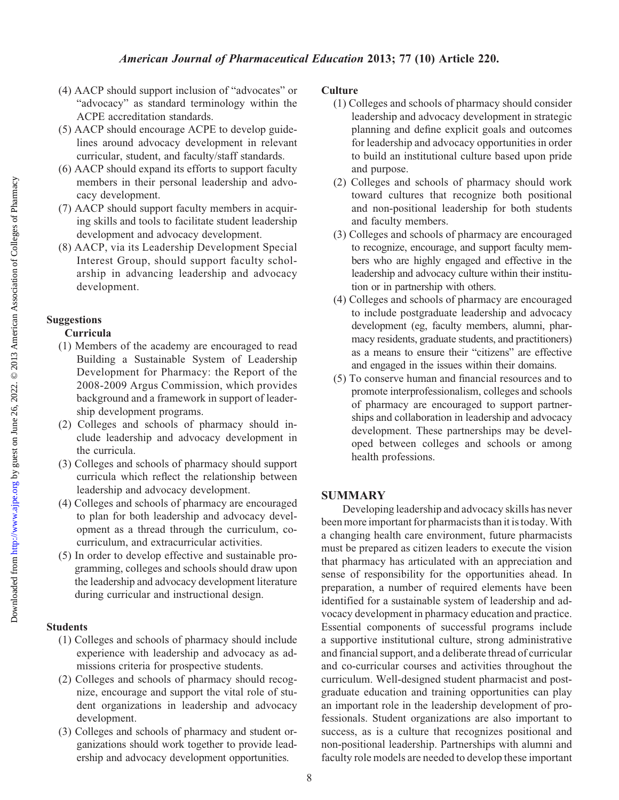# American Journal of Pharmaceutical Education 2013; 77 (10) Article 220.

- (4) AACP should support inclusion of "advocates" or "advocacy" as standard terminology within the ACPE accreditation standards.
- (5) AACP should encourage ACPE to develop guidelines around advocacy development in relevant curricular, student, and faculty/staff standards.
- (6) AACP should expand its efforts to support faculty members in their personal leadership and advocacy development.
- (7) AACP should support faculty members in acquiring skills and tools to facilitate student leadership development and advocacy development.
- (8) AACP, via its Leadership Development Special Interest Group, should support faculty scholarship in advancing leadership and advocacy development.

## Suggestions

## Curricula

- (1) Members of the academy are encouraged to read Building a Sustainable System of Leadership Development for Pharmacy: the Report of the 2008-2009 Argus Commission, which provides background and a framework in support of leadership development programs.
- (2) Colleges and schools of pharmacy should include leadership and advocacy development in the curricula.
- (3) Colleges and schools of pharmacy should support curricula which reflect the relationship between leadership and advocacy development.
- (4) Colleges and schools of pharmacy are encouraged to plan for both leadership and advocacy development as a thread through the curriculum, cocurriculum, and extracurricular activities.
- (5) In order to develop effective and sustainable programming, colleges and schools should draw upon the leadership and advocacy development literature during curricular and instructional design.

## Students

- (1) Colleges and schools of pharmacy should include experience with leadership and advocacy as admissions criteria for prospective students.
- (2) Colleges and schools of pharmacy should recognize, encourage and support the vital role of student organizations in leadership and advocacy development.
- (3) Colleges and schools of pharmacy and student organizations should work together to provide leadership and advocacy development opportunities.

## **Culture**

- (1) Colleges and schools of pharmacy should consider leadership and advocacy development in strategic planning and define explicit goals and outcomes for leadership and advocacy opportunities in order to build an institutional culture based upon pride and purpose.
- (2) Colleges and schools of pharmacy should work toward cultures that recognize both positional and non-positional leadership for both students and faculty members.
- (3) Colleges and schools of pharmacy are encouraged to recognize, encourage, and support faculty members who are highly engaged and effective in the leadership and advocacy culture within their institution or in partnership with others.
- (4) Colleges and schools of pharmacy are encouraged to include postgraduate leadership and advocacy development (eg, faculty members, alumni, pharmacy residents, graduate students, and practitioners) as a means to ensure their "citizens" are effective and engaged in the issues within their domains.
- (5) To conserve human and financial resources and to promote interprofessionalism, colleges and schools of pharmacy are encouraged to support partnerships and collaboration in leadership and advocacy development. These partnerships may be developed between colleges and schools or among health professions.

## SUMMARY

Developing leadership and advocacy skills has never been more important for pharmacists than it is today.With a changing health care environment, future pharmacists must be prepared as citizen leaders to execute the vision that pharmacy has articulated with an appreciation and sense of responsibility for the opportunities ahead. In preparation, a number of required elements have been identified for a sustainable system of leadership and advocacy development in pharmacy education and practice. Essential components of successful programs include a supportive institutional culture, strong administrative and financial support, and a deliberate thread of curricular and co-curricular courses and activities throughout the curriculum. Well-designed student pharmacist and postgraduate education and training opportunities can play an important role in the leadership development of professionals. Student organizations are also important to success, as is a culture that recognizes positional and non-positional leadership. Partnerships with alumni and faculty role models are needed to develop these important